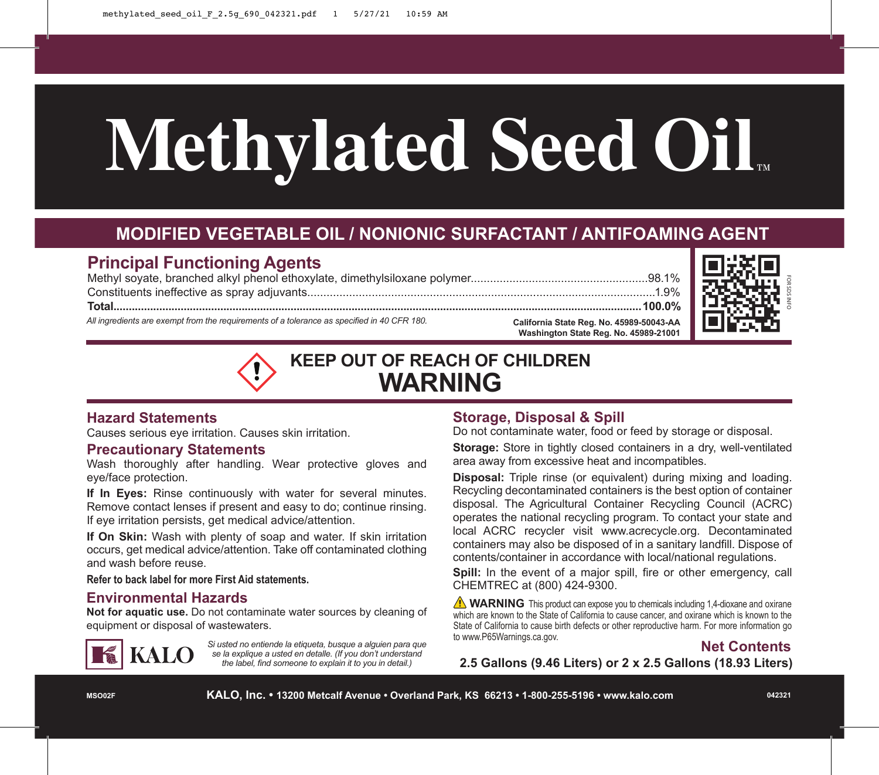# **Methylated Seed Oil**™

# **MODIFIED VEGETABLE OIL / NONIONIC SURFACTANT / ANTIFOAMING AGENT**

# **Principal Functioning Agents**

Methyl soyate, branched alkyl phenol ethoxylate, dimethylsiloxane polymer.......................................................98.1% Constituents ineffective as spray adjuvants............................................................................................................1.9% **Total.............................................................................................................................................................................100.0%**

*All ingredients are exempt from the requirements of a tolerance as specified in 40 CFR 180.*



FOR SDS INFO



### **Hazard Statements**

Causes serious eye irritation. Causes skin irritation.

### **Precautionary Statements**

Wash thoroughly after handling. Wear protective gloves and eye/face protection.

**If In Eyes:** Rinse continuously with water for several minutes. Remove contact lenses if present and easy to do; continue rinsing. If eye irritation persists, get medical advice/attention.

**If On Skin:** Wash with plenty of soap and water. If skin irritation occurs, get medical advice/attention. Take off contaminated clothing and wash before reuse.

### **Refer to back label for more First Aid statements.**

### **Environmental Hazards**

**Not for aquatic use.** Do not contaminate water sources by cleaning of equipment or disposal of wastewaters.



Si usted no entiende la etiqueta, busque a alguien para que *se la explique a usted en detalle. (If you don't understand the label, find someone to explain it to you in detail.)*

### **Storage, Disposal & Spill**

Do not contaminate water, food or feed by storage or disposal.

**Storage:** Store in tightly closed containers in a dry, well-ventilated area away from excessive heat and incompatibles.

**Disposal:** Triple rinse (or equivalent) during mixing and loading. Recycling decontaminated containers is the best option of container disposal. The Agricultural Container Recycling Council (ACRC) operates the national recycling program. To contact your state and local ACRC recycler visit www.acrecycle.org. Decontaminated containers may also be disposed of in a sanitary landfill. Dispose of contents/container in accordance with local/national regulations.

Spill: In the event of a major spill, fire or other emergency, call CHEMTREC at (800) 424-9300.

**WARNING** This product can expose you to chemicals including 1.4-dioxane and oxirane which are known to the State of California to cause cancer, and oxirane which is known to the State of California to cause birth defects or other reproductive harm. For more information go to www.P65Warnings.ca.gov.

# **Net Contents**

**2.5 Gallons (9.46 Liters) or 2 x 2.5 Gallons (18.93 Liters)**

**MSO02F**

**KALO, Inc. • 13200 Metcalf Avenue • Overland Park, KS 66213 • 1-800-255-5196 • www.kalo.com**